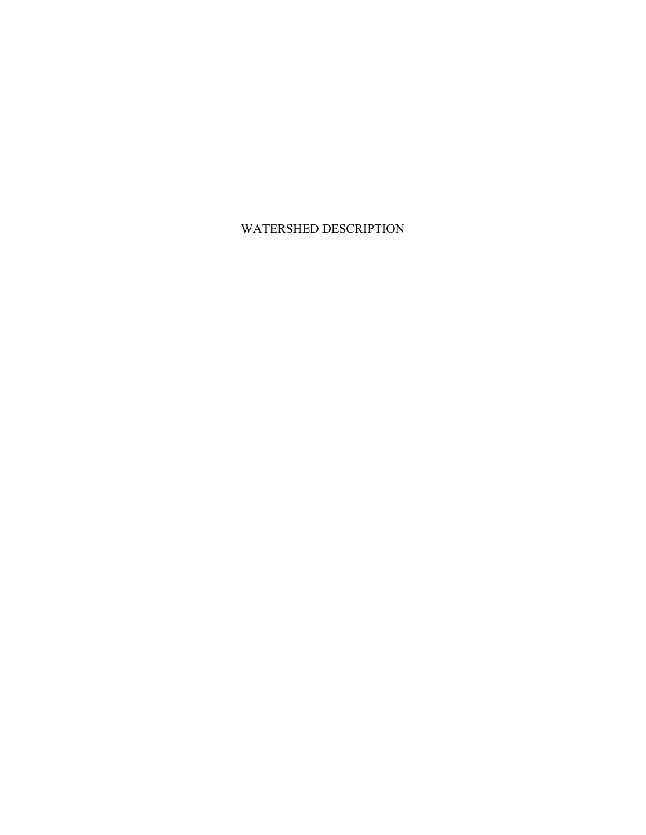WATERSHED DESCRIPTION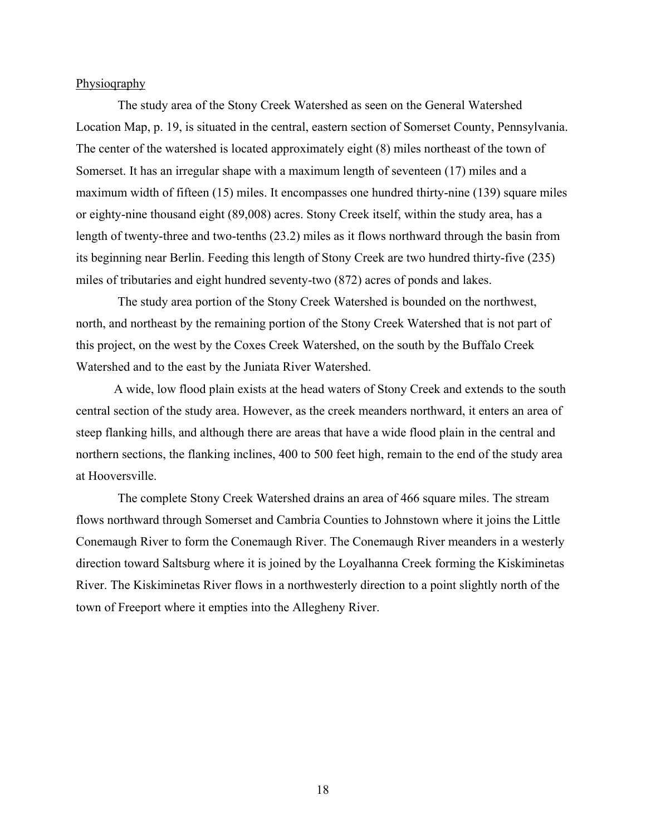Physioqraphy

The study area of the Stony Creek Watershed as seen on the General Watershed Location Map, p. 19, is situated in the central, eastern section of Somerset County, Pennsylvania. The center of the watershed is located approximately eight (8) miles northeast of the town of Somerset. It has an irregular shape with a maximum length of seventeen (17) miles and a maximum width of fifteen (15) miles. It encompasses one hundred thirty-nine (139) square miles or eighty-nine thousand eight (89,008) acres. Stony Creek itself, within the study area, has a length of twenty-three and two-tenths (23.2) miles as it flows northward through the basin from its beginning near Berlin. Feeding this length of Stony Creek are two hundred thirty-five (235) miles of tributaries and eight hundred seventy-two (872) acres of ponds and lakes.

The study area portion of the Stony Creek Watershed is bounded on the northwest, north, and northeast by the remaining portion of the Stony Creek Watershed that is not part of this project, on the west by the Coxes Creek Watershed, on the south by the Buffalo Creek Watershed and to the east by the Juniata River Watershed.

A wide, low flood plain exists at the head waters of Stony Creek and extends to the south central section of the study area. However, as the creek meanders northward, it enters an area of steep flanking hills, and although there are areas that have a wide flood plain in the central and northern sections, the flanking inclines, 400 to 500 feet high, remain to the end of the study area at Hooversville.

The complete Stony Creek Watershed drains an area of 466 square miles. The stream flows northward through Somerset and Cambria Counties to Johnstown where it joins the Little Conemaugh River to form the Conemaugh River. The Conemaugh River meanders in a westerly direction toward Saltsburg where it is joined by the Loyalhanna Creek forming the Kiskiminetas River. The Kiskiminetas River flows in a northwesterly direction to a point slightly north of the town of Freeport where it empties into the Allegheny River.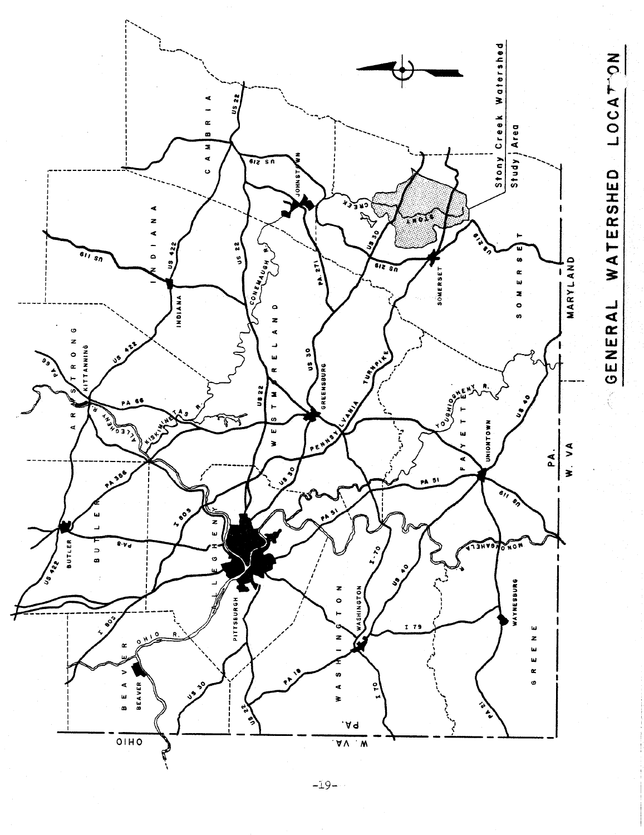

 $-19-$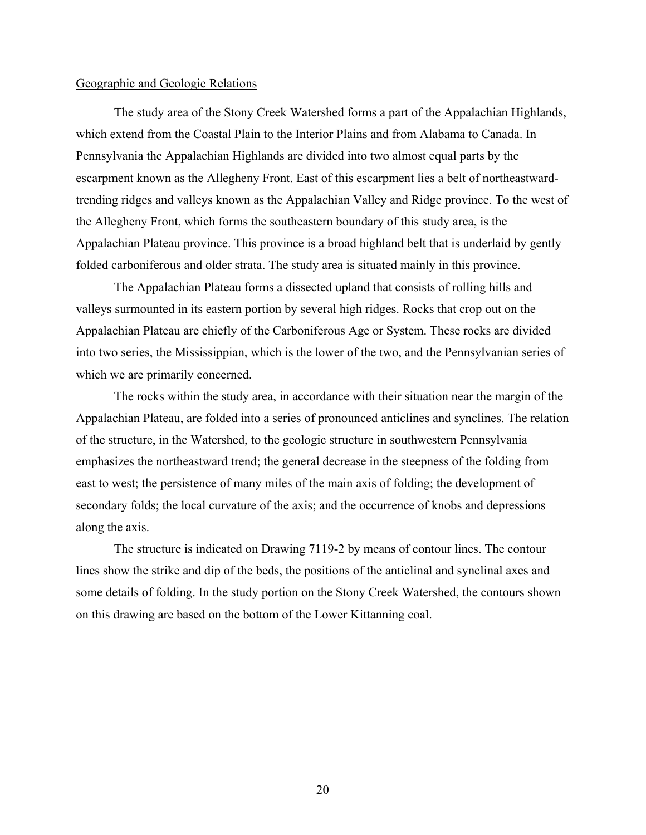#### Geographic and Geologic Relations

The study area of the Stony Creek Watershed forms a part of the Appalachian Highlands, which extend from the Coastal Plain to the Interior Plains and from Alabama to Canada. In Pennsylvania the Appalachian Highlands are divided into two almost equal parts by the escarpment known as the Allegheny Front. East of this escarpment lies a belt of northeastwardtrending ridges and valleys known as the Appalachian Valley and Ridge province. To the west of the Allegheny Front, which forms the southeastern boundary of this study area, is the Appalachian Plateau province. This province is a broad highland belt that is underlaid by gently folded carboniferous and older strata. The study area is situated mainly in this province.

The Appalachian Plateau forms a dissected upland that consists of rolling hills and valleys surmounted in its eastern portion by several high ridges. Rocks that crop out on the Appalachian Plateau are chiefly of the Carboniferous Age or System. These rocks are divided into two series, the Mississippian, which is the lower of the two, and the Pennsylvanian series of which we are primarily concerned.

The rocks within the study area, in accordance with their situation near the margin of the Appalachian Plateau, are folded into a series of pronounced anticlines and synclines. The relation of the structure, in the Watershed, to the geologic structure in southwestern Pennsylvania emphasizes the northeastward trend; the general decrease in the steepness of the folding from east to west; the persistence of many miles of the main axis of folding; the development of secondary folds; the local curvature of the axis; and the occurrence of knobs and depressions along the axis.

The structure is indicated on Drawing 7119-2 by means of contour lines. The contour lines show the strike and dip of the beds, the positions of the anticlinal and synclinal axes and some details of folding. In the study portion on the Stony Creek Watershed, the contours shown on this drawing are based on the bottom of the Lower Kittanning coal.

20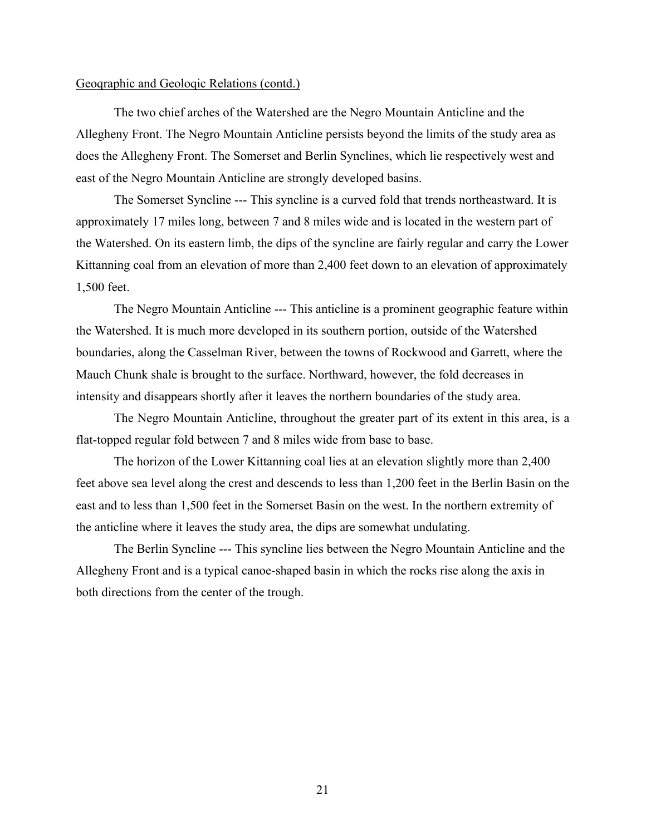The two chief arches of the Watershed are the Negro Mountain Anticline and the Allegheny Front. The Negro Mountain Anticline persists beyond the limits of the study area as does the Allegheny Front. The Somerset and Berlin Synclines, which lie respectively west and east of the Negro Mountain Anticline are strongly developed basins.

The Somerset Syncline --- This syncline is a curved fold that trends northeastward. It is approximately 17 miles long, between 7 and 8 miles wide and is located in the western part of the Watershed. On its eastern limb, the dips of the syncline are fairly regular and carry the Lower Kittanning coal from an elevation of more than 2,400 feet down to an elevation of approximately 1,500 feet.

The Negro Mountain Anticline --- This anticline is a prominent geographic feature within the Watershed. It is much more developed in its southern portion, outside of the Watershed boundaries, along the Casselman River, between the towns of Rockwood and Garrett, where the Mauch Chunk shale is brought to the surface. Northward, however, the fold decreases in intensity and disappears shortly after it leaves the northern boundaries of the study area.

The Negro Mountain Anticline, throughout the greater part of its extent in this area, is a flat-topped regular fold between 7 and 8 miles wide from base to base.

The horizon of the Lower Kittanning coal lies at an elevation slightly more than 2,400 feet above sea level along the crest and descends to less than 1,200 feet in the Berlin Basin on the east and to less than 1,500 feet in the Somerset Basin on the west. In the northern extremity of the anticline where it leaves the study area, the dips are somewhat undulating.

The Berlin Syncline --- This syncline lies between the Negro Mountain Anticline and the Allegheny Front and is a typical canoe-shaped basin in which the rocks rise along the axis in both directions from the center of the trough.

21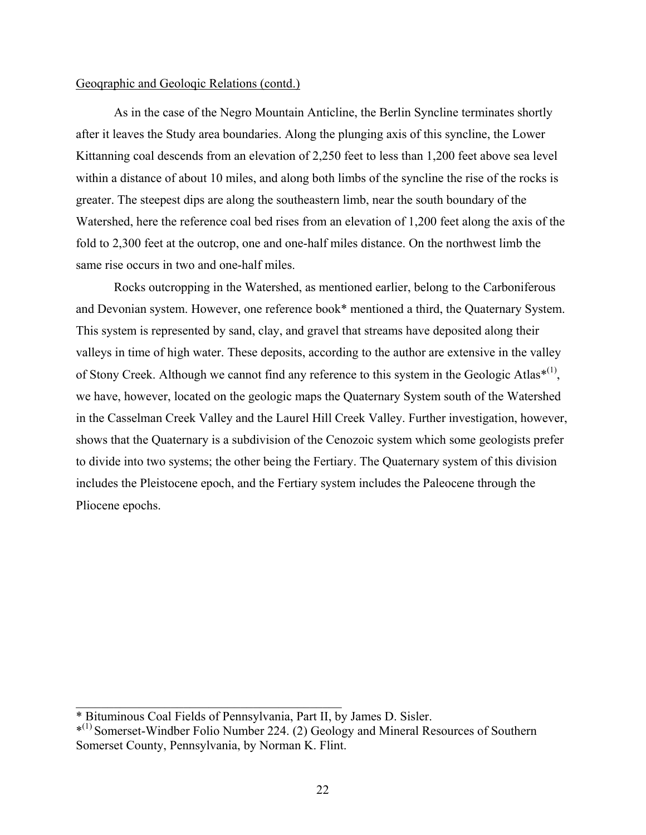As in the case of the Negro Mountain Anticline, the Berlin Syncline terminates shortly after it leaves the Study area boundaries. Along the plunging axis of this syncline, the Lower Kittanning coal descends from an elevation of 2,250 feet to less than 1,200 feet above sea level within a distance of about 10 miles, and along both limbs of the syncline the rise of the rocks is greater. The steepest dips are along the southeastern limb, near the south boundary of the Watershed, here the reference coal bed rises from an elevation of 1,200 feet along the axis of the fold to 2,300 feet at the outcrop, one and one-half miles distance. On the northwest limb the same rise occurs in two and one-half miles.

Rocks outcropping in the Watershed, as mentioned earlier, belong to the Carboniferous and Devonian system. However, one reference book\* mentioned a third, the Quaternary System. This system is represented by sand, clay, and gravel that streams have deposited along their valleys in time of high water. These deposits, according to the author are extensive in the valley of Stony Creek. Although we cannot find any reference to this system in the Geologic Atlas\* $(1)$ , we have, however, located on the geologic maps the Quaternary System south of the Watershed in the Casselman Creek Valley and the Laurel Hill Creek Valley. Further investigation, however, shows that the Quaternary is a subdivision of the Cenozoic system which some geologists prefer to divide into two systems; the other being the Fertiary. The Quaternary system of this division includes the Pleistocene epoch, and the Fertiary system includes the Paleocene through the Pliocene epochs.

\_\_\_\_\_\_\_\_\_\_\_\_\_\_\_\_\_\_\_\_\_\_\_\_\_\_\_\_\_\_\_\_\_\_\_\_\_\_\_\_\_\_

<sup>\*</sup> Bituminous Coal Fields of Pennsylvania, Part II, by James D. Sisler.

<sup>\*</sup>(1) Somerset-Windber Folio Number 224. (2) Geology and Mineral Resources of Southern Somerset County, Pennsylvania, by Norman K. Flint.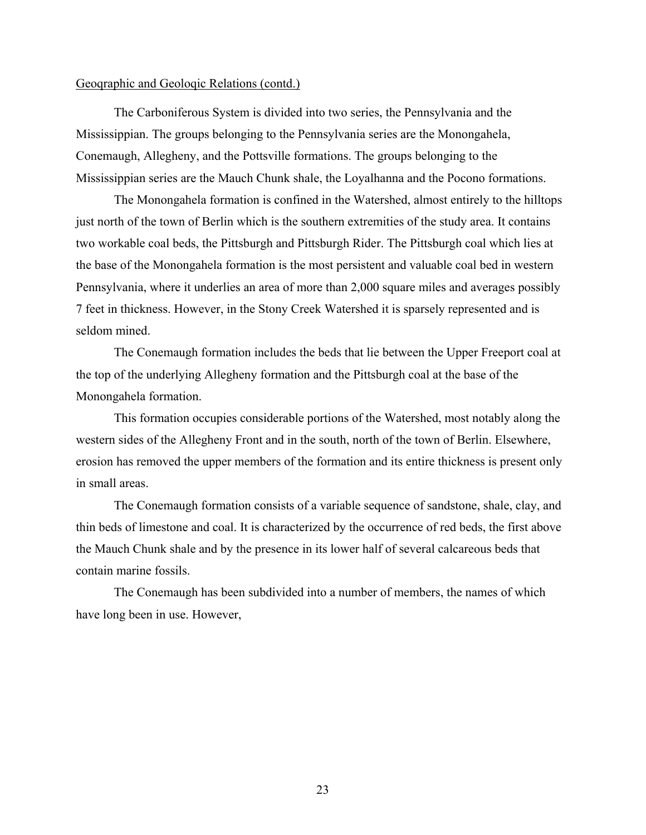The Carboniferous System is divided into two series, the Pennsylvania and the Mississippian. The groups belonging to the Pennsylvania series are the Monongahela, Conemaugh, Allegheny, and the Pottsville formations. The groups belonging to the Mississippian series are the Mauch Chunk shale, the Loyalhanna and the Pocono formations.

The Monongahela formation is confined in the Watershed, almost entirely to the hilltops just north of the town of Berlin which is the southern extremities of the study area. It contains two workable coal beds, the Pittsburgh and Pittsburgh Rider. The Pittsburgh coal which lies at the base of the Monongahela formation is the most persistent and valuable coal bed in western Pennsylvania, where it underlies an area of more than 2,000 square miles and averages possibly 7 feet in thickness. However, in the Stony Creek Watershed it is sparsely represented and is seldom mined.

The Conemaugh formation includes the beds that lie between the Upper Freeport coal at the top of the underlying Allegheny formation and the Pittsburgh coal at the base of the Monongahela formation.

This formation occupies considerable portions of the Watershed, most notably along the western sides of the Allegheny Front and in the south, north of the town of Berlin. Elsewhere, erosion has removed the upper members of the formation and its entire thickness is present only in small areas.

The Conemaugh formation consists of a variable sequence of sandstone, shale, clay, and thin beds of limestone and coal. It is characterized by the occurrence of red beds, the first above the Mauch Chunk shale and by the presence in its lower half of several calcareous beds that contain marine fossils.

The Conemaugh has been subdivided into a number of members, the names of which have long been in use. However,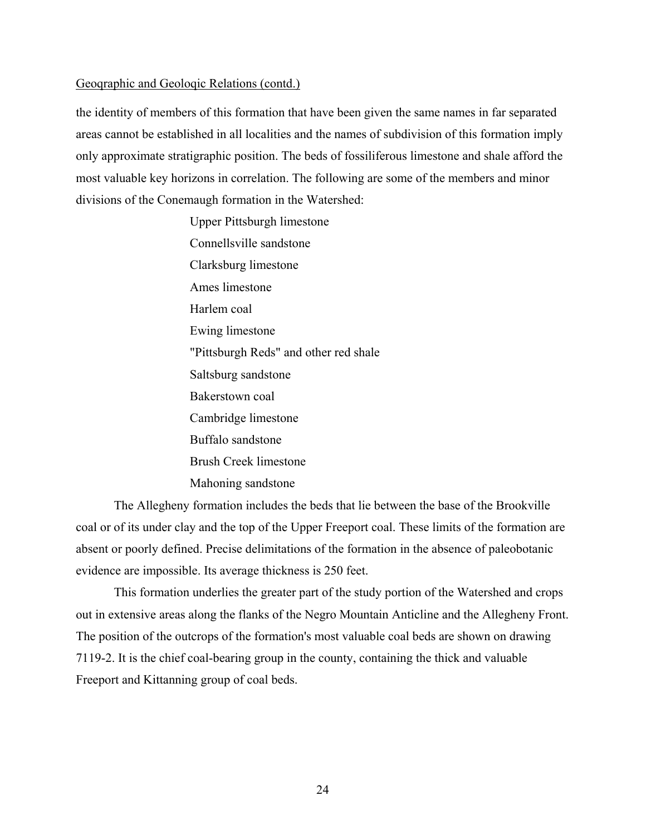the identity of members of this formation that have been given the same names in far separated areas cannot be established in all localities and the names of subdivision of this formation imply only approximate stratigraphic position. The beds of fossiliferous limestone and shale afford the most valuable key horizons in correlation. The following are some of the members and minor divisions of the Conemaugh formation in the Watershed:

> Upper Pittsburgh limestone Connellsville sandstone Clarksburg limestone Ames limestone Harlem coal Ewing limestone "Pittsburgh Reds" and other red shale Saltsburg sandstone Bakerstown coal Cambridge limestone Buffalo sandstone Brush Creek limestone Mahoning sandstone

The Allegheny formation includes the beds that lie between the base of the Brookville coal or of its under clay and the top of the Upper Freeport coal. These limits of the formation are absent or poorly defined. Precise delimitations of the formation in the absence of paleobotanic evidence are impossible. Its average thickness is 250 feet.

This formation underlies the greater part of the study portion of the Watershed and crops out in extensive areas along the flanks of the Negro Mountain Anticline and the Allegheny Front. The position of the outcrops of the formation's most valuable coal beds are shown on drawing 7119-2. It is the chief coal-bearing group in the county, containing the thick and valuable Freeport and Kittanning group of coal beds.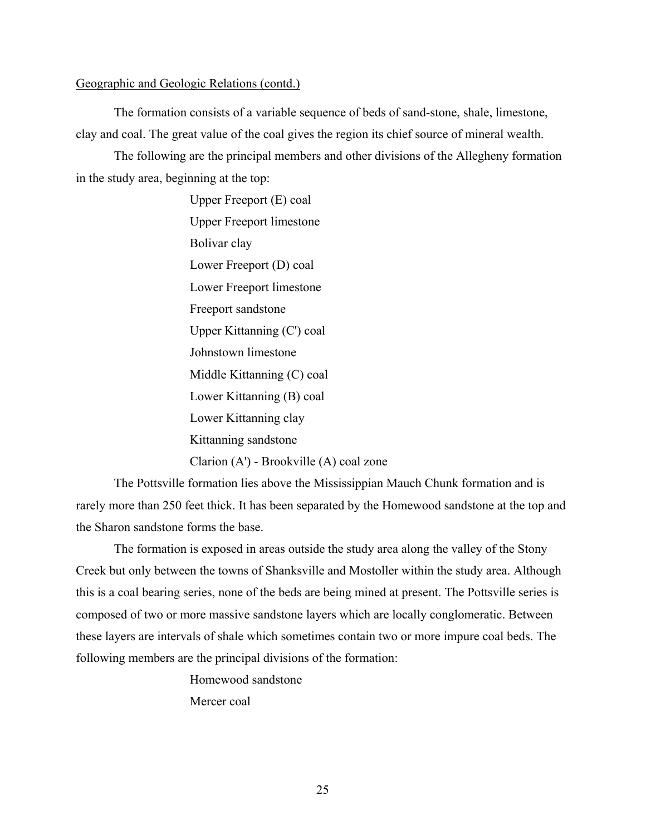The formation consists of a variable sequence of beds of sand-stone, shale, limestone, clay and coal. The great value of the coal gives the region its chief source of mineral wealth.

The following are the principal members and other divisions of the Allegheny formation in the study area, beginning at the top:

> Upper Freeport (E) coal Upper Freeport limestone Bolivar clay Lower Freeport (D) coal Lower Freeport limestone Freeport sandstone Upper Kittanning (C') coal Johnstown limestone Middle Kittanning (C) coal Lower Kittanning (B) coal Lower Kittanning clay Kittanning sandstone Clarion (A') - Brookville (A) coal zone

The Pottsville formation lies above the Mississippian Mauch Chunk formation and is rarely more than 250 feet thick. It has been separated by the Homewood sandstone at the top and the Sharon sandstone forms the base.

The formation is exposed in areas outside the study area along the valley of the Stony Creek but only between the towns of Shanksville and Mostoller within the study area. Although this is a coal bearing series, none of the beds are being mined at present. The Pottsville series is composed of two or more massive sandstone layers which are locally conglomeratic. Between these layers are intervals of shale which sometimes contain two or more impure coal beds. The following members are the principal divisions of the formation:

> Homewood sandstone Mercer coal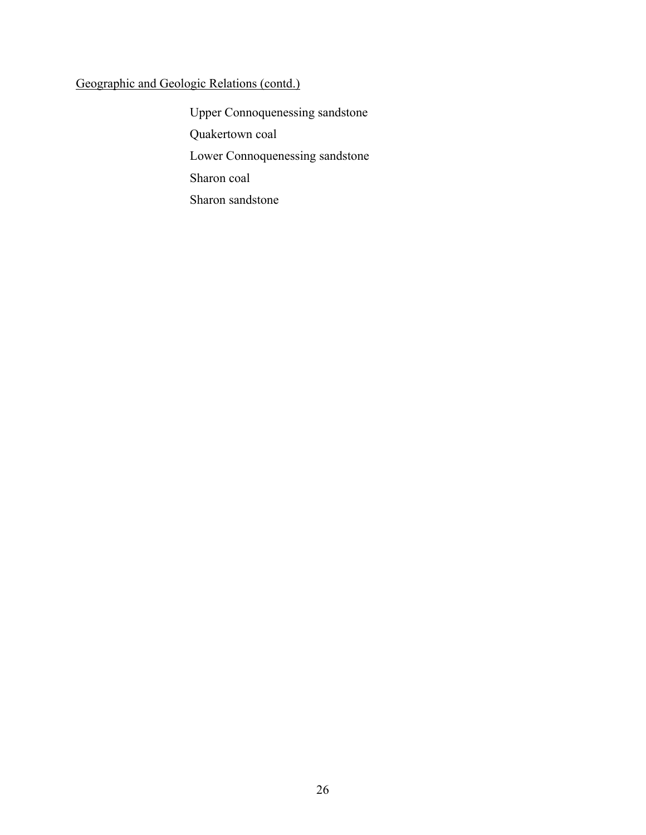Upper Connoquenessing sandstone Quakertown coal Lower Connoquenessing sandstone Sharon coal Sharon sandstone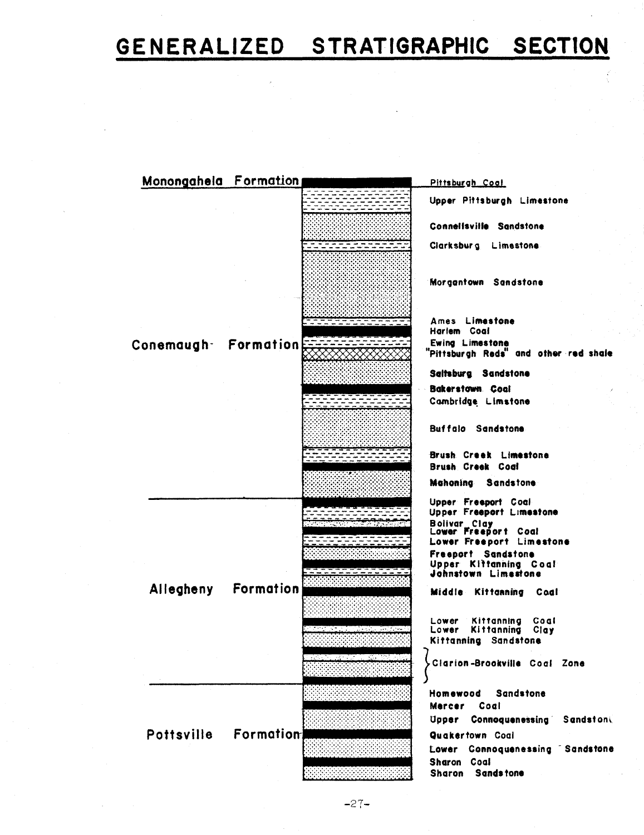# GENERALIZED STRATIGRAPHIC SECTION



 $-27-$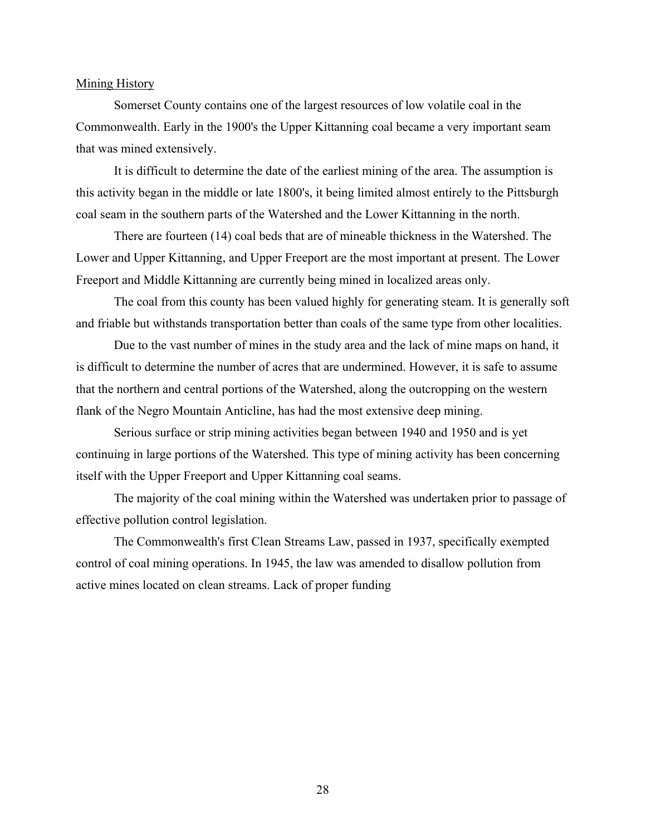#### Mining History

Somerset County contains one of the largest resources of low volatile coal in the Commonwealth. Early in the 1900's the Upper Kittanning coal became a very important seam that was mined extensively.

It is difficult to determine the date of the earliest mining of the area. The assumption is this activity began in the middle or late 1800's, it being limited almost entirely to the Pittsburgh coal seam in the southern parts of the Watershed and the Lower Kittanning in the north.

There are fourteen (14) coal beds that are of mineable thickness in the Watershed. The Lower and Upper Kittanning, and Upper Freeport are the most important at present. The Lower Freeport and Middle Kittanning are currently being mined in localized areas only.

The coal from this county has been valued highly for generating steam. It is generally soft and friable but withstands transportation better than coals of the same type from other localities.

Due to the vast number of mines in the study area and the lack of mine maps on hand, it is difficult to determine the number of acres that are undermined. However, it is safe to assume that the northern and central portions of the Watershed, along the outcropping on the western flank of the Negro Mountain Anticline, has had the most extensive deep mining.

Serious surface or strip mining activities began between 1940 and 1950 and is yet continuing in large portions of the Watershed. This type of mining activity has been concerning itself with the Upper Freeport and Upper Kittanning coal seams.

The majority of the coal mining within the Watershed was undertaken prior to passage of effective pollution control legislation.

The Commonwealth's first Clean Streams Law, passed in 1937, specifically exempted control of coal mining operations. In 1945, the law was amended to disallow pollution from active mines located on clean streams. Lack of proper funding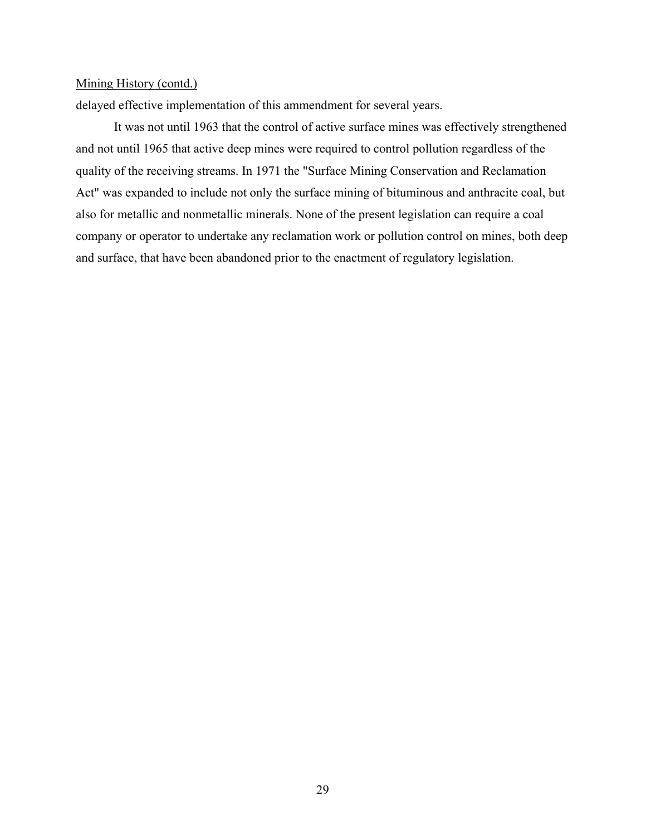#### Mining History (contd.)

delayed effective implementation of this ammendment for several years.

It was not until 1963 that the control of active surface mines was effectively strengthened and not until 1965 that active deep mines were required to control pollution regardless of the quality of the receiving streams. In 1971 the "Surface Mining Conservation and Reclamation Act" was expanded to include not only the surface mining of bituminous and anthracite coal, but also for metallic and nonmetallic minerals. None of the present legislation can require a coal company or operator to undertake any reclamation work or pollution control on mines, both deep and surface, that have been abandoned prior to the enactment of regulatory legislation.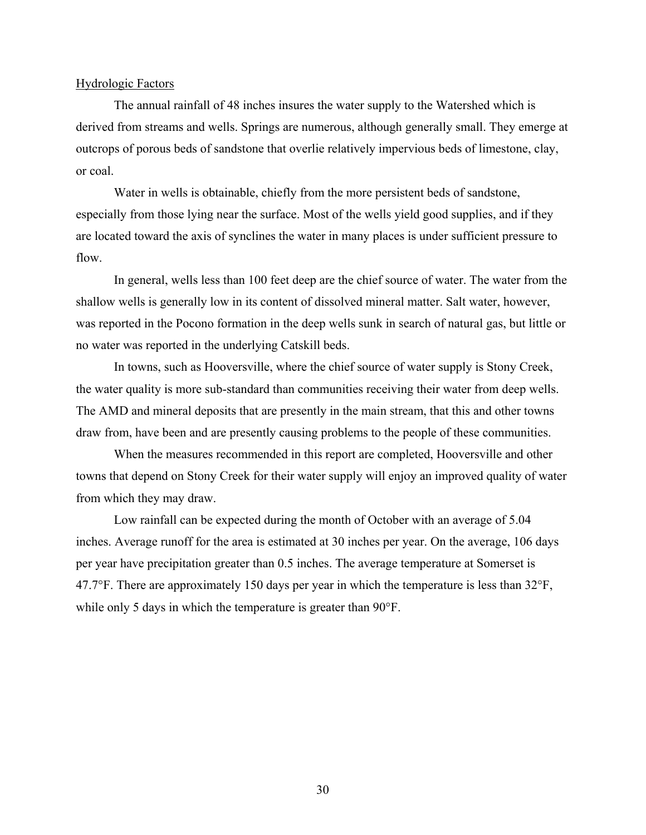#### Hydrologic Factors

The annual rainfall of 48 inches insures the water supply to the Watershed which is derived from streams and wells. Springs are numerous, although generally small. They emerge at outcrops of porous beds of sandstone that overlie relatively impervious beds of limestone, clay, or coal.

Water in wells is obtainable, chiefly from the more persistent beds of sandstone, especially from those lying near the surface. Most of the wells yield good supplies, and if they are located toward the axis of synclines the water in many places is under sufficient pressure to flow.

In general, wells less than 100 feet deep are the chief source of water. The water from the shallow wells is generally low in its content of dissolved mineral matter. Salt water, however, was reported in the Pocono formation in the deep wells sunk in search of natural gas, but little or no water was reported in the underlying Catskill beds.

In towns, such as Hooversville, where the chief source of water supply is Stony Creek, the water quality is more sub-standard than communities receiving their water from deep wells. The AMD and mineral deposits that are presently in the main stream, that this and other towns draw from, have been and are presently causing problems to the people of these communities.

When the measures recommended in this report are completed, Hooversville and other towns that depend on Stony Creek for their water supply will enjoy an improved quality of water from which they may draw.

Low rainfall can be expected during the month of October with an average of 5.04 inches. Average runoff for the area is estimated at 30 inches per year. On the average, 106 days per year have precipitation greater than 0.5 inches. The average temperature at Somerset is 47.7°F. There are approximately 150 days per year in which the temperature is less than 32°F, while only 5 days in which the temperature is greater than 90°F.

30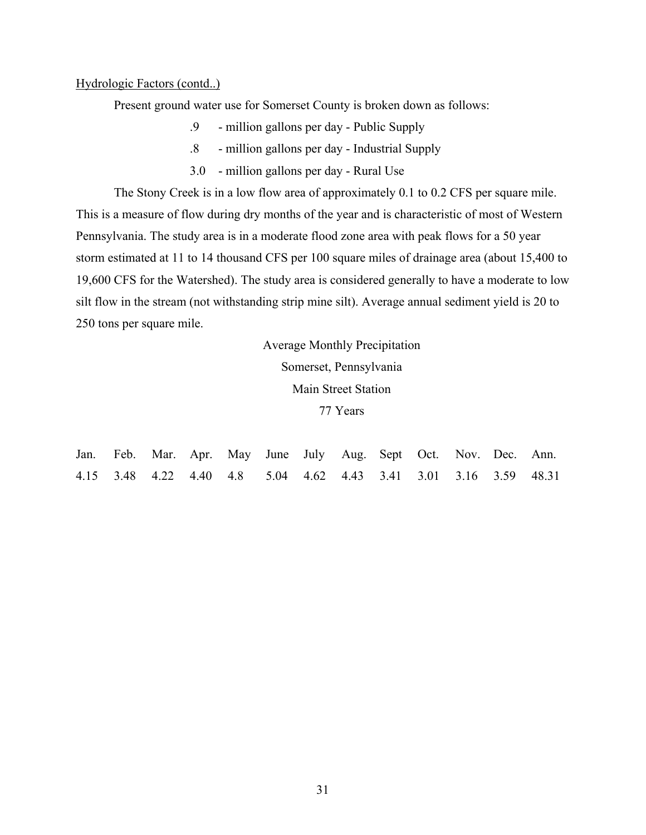#### Hydrologic Factors (contd..)

Present ground water use for Somerset County is broken down as follows:

- .9 million gallons per day Public Supply
- .8 million gallons per day Industrial Supply
- 3.0 million gallons per day Rural Use

The Stony Creek is in a low flow area of approximately 0.1 to 0.2 CFS per square mile. This is a measure of flow during dry months of the year and is characteristic of most of Western Pennsylvania. The study area is in a moderate flood zone area with peak flows for a 50 year storm estimated at 11 to 14 thousand CFS per 100 square miles of drainage area (about 15,400 to 19,600 CFS for the Watershed). The study area is considered generally to have a moderate to low silt flow in the stream (not withstanding strip mine silt). Average annual sediment yield is 20 to 250 tons per square mile.

Average Monthly Precipitation

Somerset, Pennsylvania

Main Street Station

77 Years

|  |  |  |  |  | Jan. Feb. Mar. Apr. May June July Aug. Sept Oct. Nov. Dec. Ann. |                                                                  |
|--|--|--|--|--|-----------------------------------------------------------------|------------------------------------------------------------------|
|  |  |  |  |  |                                                                 | 4.15 3.48 4.22 4.40 4.8 5.04 4.62 4.43 3.41 3.01 3.16 3.59 48.31 |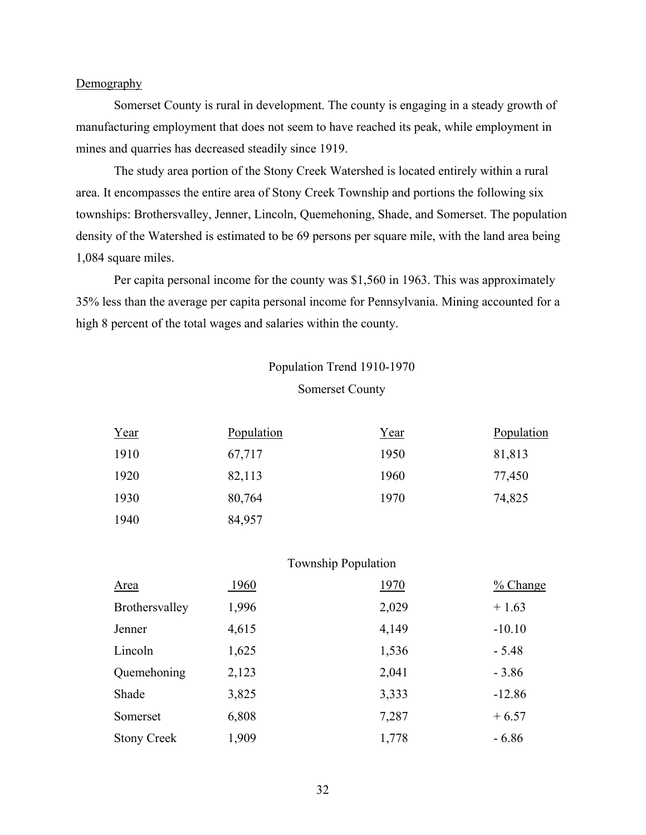#### **Demography**

Somerset County is rural in development. The county is engaging in a steady growth of manufacturing employment that does not seem to have reached its peak, while employment in mines and quarries has decreased steadily since 1919.

The study area portion of the Stony Creek Watershed is located entirely within a rural area. It encompasses the entire area of Stony Creek Township and portions the following six townships: Brothersvalley, Jenner, Lincoln, Quemehoning, Shade, and Somerset. The population density of the Watershed is estimated to be 69 persons per square mile, with the land area being 1,084 square miles.

Per capita personal income for the county was \$1,560 in 1963. This was approximately 35% less than the average per capita personal income for Pennsylvania. Mining accounted for a high 8 percent of the total wages and salaries within the county.

### Population Trend 1910-1970 Somerset County

| Year | Population | Year | Population |
|------|------------|------|------------|
| 1910 | 67,717     | 1950 | 81,813     |
| 1920 | 82,113     | 1960 | 77,450     |
| 1930 | 80,764     | 1970 | 74,825     |
| 1940 | 84,957     |      |            |

Township Population

| Area                  | 1960  | 1970  | $\frac{9}{6}$ Change |
|-----------------------|-------|-------|----------------------|
| <b>Brothersvalley</b> | 1,996 | 2,029 | $+1.63$              |
| Jenner                | 4,615 | 4,149 | $-10.10$             |
| Lincoln               | 1,625 | 1,536 | $-5.48$              |
| Quemehoning           | 2,123 | 2,041 | $-3.86$              |
| Shade                 | 3,825 | 3,333 | $-12.86$             |
| Somerset              | 6,808 | 7,287 | $+6.57$              |
| <b>Stony Creek</b>    | 1,909 | 1,778 | $-6.86$              |